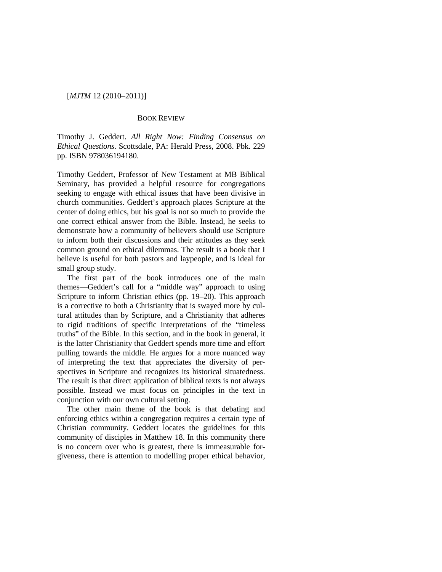## [*MJTM* 12 (2010–2011)]

## BOOK REVIEW

Timothy J. Geddert. *All Right Now: Finding Consensus on Ethical Questions*. Scottsdale, PA: Herald Press, 2008. Pbk. 229 pp. ISBN 978036194180.

Timothy Geddert, Professor of New Testament at MB Biblical Seminary, has provided a helpful resource for congregations seeking to engage with ethical issues that have been divisive in church communities. Geddert's approach places Scripture at the center of doing ethics, but his goal is not so much to provide the one correct ethical answer from the Bible. Instead, he seeks to demonstrate how a community of believers should use Scripture to inform both their discussions and their attitudes as they seek common ground on ethical dilemmas. The result is a book that I believe is useful for both pastors and laypeople, and is ideal for small group study.

The first part of the book introduces one of the main themes—Geddert's call for a "middle way" approach to using Scripture to inform Christian ethics (pp. 19–20). This approach is a corrective to both a Christianity that is swayed more by cultural attitudes than by Scripture, and a Christianity that adheres to rigid traditions of specific interpretations of the "timeless truths" of the Bible. In this section, and in the book in general, it is the latter Christianity that Geddert spends more time and effort pulling towards the middle. He argues for a more nuanced way of interpreting the text that appreciates the diversity of perspectives in Scripture and recognizes its historical situatedness. The result is that direct application of biblical texts is not always possible. Instead we must focus on principles in the text in conjunction with our own cultural setting.

The other main theme of the book is that debating and enforcing ethics within a congregation requires a certain type of Christian community. Geddert locates the guidelines for this community of disciples in Matthew 18. In this community there is no concern over who is greatest, there is immeasurable forgiveness, there is attention to modelling proper ethical behavior,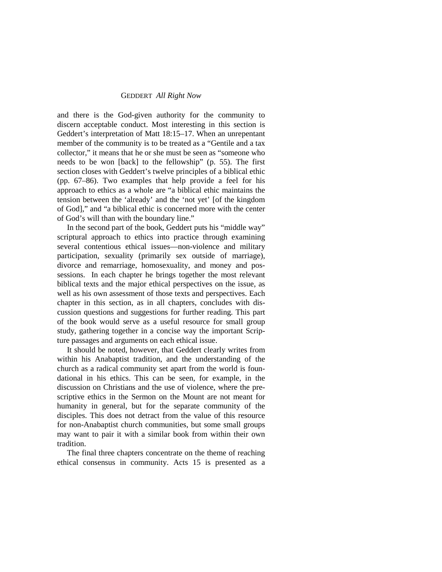## GEDDERT *All Right Now*

and there is the God-given authority for the community to discern acceptable conduct. Most interesting in this section is Geddert's interpretation of Matt 18:15–17. When an unrepentant member of the community is to be treated as a "Gentile and a tax collector," it means that he or she must be seen as "someone who needs to be won [back] to the fellowship" (p. 55). The first section closes with Geddert's twelve principles of a biblical ethic (pp. 67–86). Two examples that help provide a feel for his approach to ethics as a whole are "a biblical ethic maintains the tension between the 'already' and the 'not yet' [of the kingdom of God]," and "a biblical ethic is concerned more with the center of God's will than with the boundary line."

In the second part of the book, Geddert puts his "middle way" scriptural approach to ethics into practice through examining several contentious ethical issues—non-violence and military participation, sexuality (primarily sex outside of marriage), divorce and remarriage, homosexuality, and money and possessions. In each chapter he brings together the most relevant biblical texts and the major ethical perspectives on the issue, as well as his own assessment of those texts and perspectives. Each chapter in this section, as in all chapters, concludes with discussion questions and suggestions for further reading. This part of the book would serve as a useful resource for small group study, gathering together in a concise way the important Scripture passages and arguments on each ethical issue.

It should be noted, however, that Geddert clearly writes from within his Anabaptist tradition, and the understanding of the church as a radical community set apart from the world is foundational in his ethics. This can be seen, for example, in the discussion on Christians and the use of violence, where the prescriptive ethics in the Sermon on the Mount are not meant for humanity in general, but for the separate community of the disciples. This does not detract from the value of this resource for non-Anabaptist church communities, but some small groups may want to pair it with a similar book from within their own tradition.

The final three chapters concentrate on the theme of reaching ethical consensus in community. Acts 15 is presented as a